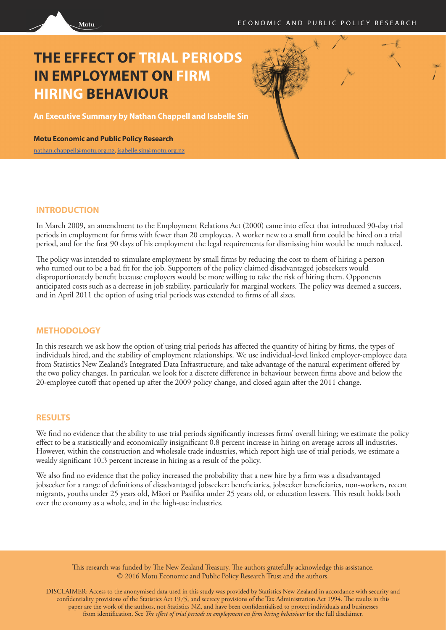# **THE EFFECT OF TRIAL PERIODS IN EMPLOYMENT ON FIRM HIRING BEHAVIOUR**

**An Executive Summary by Nathan Chappell and Isabelle Sin**

**Motu Economic and Public Policy Research**

Motu

[nathan.chappell@motu.org.nz](mailto: nathan.chappell@motu.org.nz), [isabelle.sin@motu.org.nz](mailto: isabelle.sin@motu.org.nz)

### **INTRODUCTION**

In March 2009, an amendment to the Employment Relations Act (2000) came into effect that introduced 90-day trial periods in employment for firms with fewer than 20 employees. A worker new to a small firm could be hired on a trial period, and for the first 90 days of his employment the legal requirements for dismissing him would be much reduced.

The policy was intended to stimulate employment by small firms by reducing the cost to them of hiring a person who turned out to be a bad fit for the job. Supporters of the policy claimed disadvantaged jobseekers would disproportionately benefit because employers would be more willing to take the risk of hiring them. Opponents anticipated costs such as a decrease in job stability, particularly for marginal workers. The policy was deemed a success, and in April 2011 the option of using trial periods was extended to firms of all sizes.

#### **METHODOLOGY**

In this research we ask how the option of using trial periods has affected the quantity of hiring by firms, the types of individuals hired, and the stability of employment relationships. We use individual-level linked employer-employee data from Statistics New Zealand's Integrated Data Infrastructure, and take advantage of the natural experiment offered by the two policy changes. In particular, we look for a discrete difference in behaviour between firms above and below the 20-employee cutoff that opened up after the 2009 policy change, and closed again after the 2011 change.

#### **RESULTS**

We find no evidence that the ability to use trial periods significantly increases firms' overall hiring; we estimate the policy effect to be a statistically and economically insignificant 0.8 percent increase in hiring on average across all industries. However, within the construction and wholesale trade industries, which report high use of trial periods, we estimate a weakly significant 10.3 percent increase in hiring as a result of the policy.

We also find no evidence that the policy increased the probability that a new hire by a firm was a disadvantaged jobseeker for a range of definitions of disadvantaged jobseeker: beneficiaries, jobseeker beneficiaries, non-workers, recent migrants, youths under 25 years old, Māori or Pasifika under 25 years old, or education leavers. This result holds both over the economy as a whole, and in the high-use industries.

This research was funded by The New Zealand Treasury. The authors gratefully acknowledge this assistance. © 2016 Motu Economic and Public Policy Research Trust and the authors.

DISCLAIMER: Access to the anonymised data used in this study was provided by Statistics New Zealand in accordance with security and confidentiality provisions of the Statistics Act 1975, and secrecy provisions of the Tax Administration Act 1994. The results in this paper are the work of the authors, not Statistics NZ, and have been confidentialised to protect individuals and businesses from identification. See *The effect of trial periods in employment on firm hiring behaviour* for the full disclaimer.